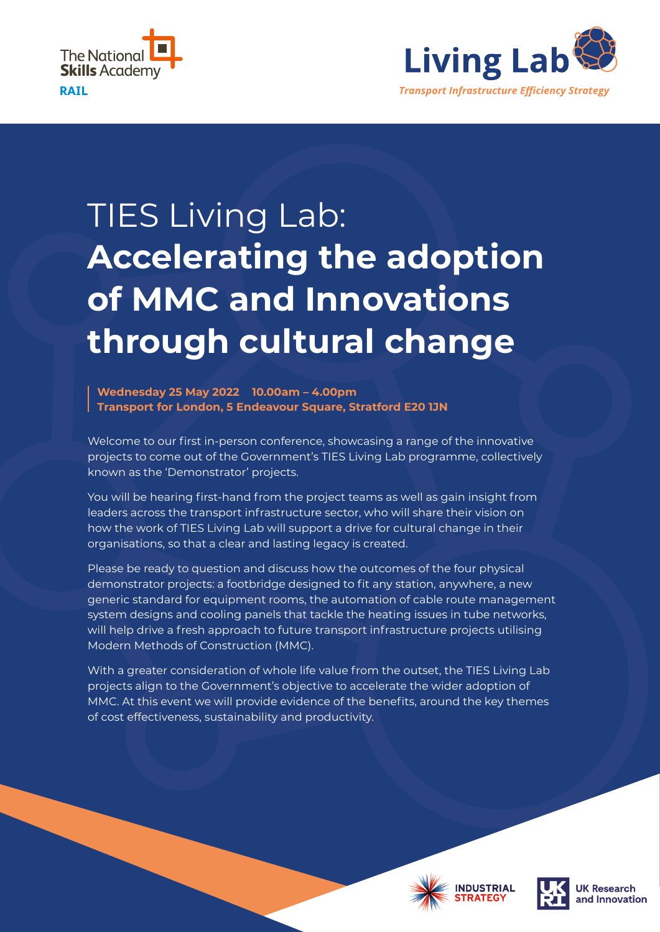



# TIES Living Lab: **Accelerating the adoption of MMC and Innovations through cultural change**

**Wednesday 25 May 2022 10.00am – 4.00pm Transport for London, 5 Endeavour Square, Stratford E20 1JN**

Welcome to our first in-person conference, showcasing a range of the innovative projects to come out of the Government's TIES Living Lab programme, collectively known as the 'Demonstrator' projects.

You will be hearing first-hand from the project teams as well as gain insight from leaders across the transport infrastructure sector, who will share their vision on how the work of TIES Living Lab will support a drive for cultural change in their organisations, so that a clear and lasting legacy is created.

Please be ready to question and discuss how the outcomes of the four physical demonstrator projects: a footbridge designed to fit any station, anywhere, a new generic standard for equipment rooms, the automation of cable route management system designs and cooling panels that tackle the heating issues in tube networks, will help drive a fresh approach to future transport infrastructure projects utilising Modern Methods of Construction (MMC).

With a greater consideration of whole life value from the outset, the TIES Living Lab projects align to the Government's objective to accelerate the wider adoption of MMC. At this event we will provide evidence of the benefits, around the key themes of cost effectiveness, sustainability and productivity.





**K** Research nd Innovation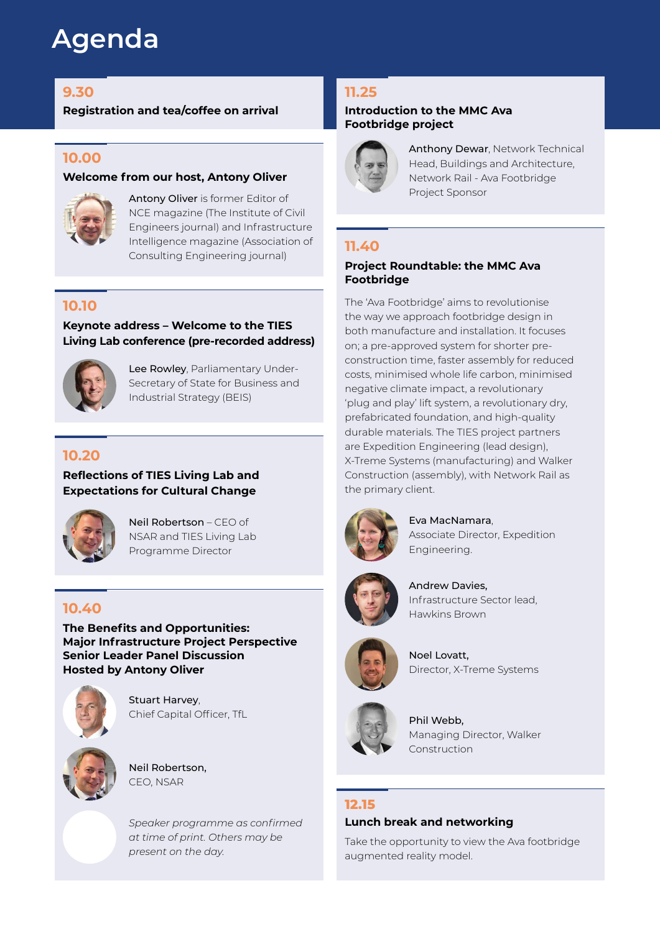# **Agenda**

**Registration and tea/coffee on arrival Introduction to the MMC Ava** 

# **10.00**

#### **Welcome from our host, Antony Oliver**



Antony Oliver is former Editor of NCE magazine (The Institute of Civil Engineers journal) and Infrastructure Intelligence magazine (Association of Consulting Engineering journal)

# **10.10**

**Keynote address – Welcome to the TIES Living Lab conference (pre-recorded address)**



Lee Rowley, Parliamentary Under-Secretary of State for Business and Industrial Strategy (BEIS)

# **10.20**

**Reflections of TIES Living Lab and Expectations for Cultural Change**



Neil Robertson – CEO of NSAR and TIES Living Lab Programme Director

# **10.40**

**The Benefits and Opportunities: Major Infrastructure Project Perspective Senior Leader Panel Discussion Hosted by Antony Oliver**



Stuart Harvey, Chief Capital Officer, TfL



Neil Robertson, CEO, NSAR

*Speaker programme as confirmed at time of print. Others may be present on the day.*

# **9.30 11.25**

# **Footbridge project**



Anthony Dewar, Network Technical Head, Buildings and Architecture, Network Rail - Ava Footbridge Project Sponsor

# **11.40**

#### **Project Roundtable: the MMC Ava Footbridge**

The 'Ava Footbridge' aims to revolutionise the way we approach footbridge design in both manufacture and installation. It focuses on; a pre-approved system for shorter preconstruction time, faster assembly for reduced costs, minimised whole life carbon, minimised negative climate impact, a revolutionary 'plug and play' lift system, a revolutionary dry, prefabricated foundation, and high-quality durable materials. The TIES project partners are Expedition Engineering (lead design), X-Treme Systems (manufacturing) and Walker Construction (assembly), with Network Rail as the primary client.



Eva MacNamara, Associate Director, Expedition Engineering.



Andrew Davies, Infrastructure Sector lead, Hawkins Brown



Noel Lovatt, Director, X-Treme Systems



Phil Webb, Managing Director, Walker **Construction** 

## **12.15**

#### **Lunch break and networking**

Take the opportunity to view the Ava footbridge augmented reality model.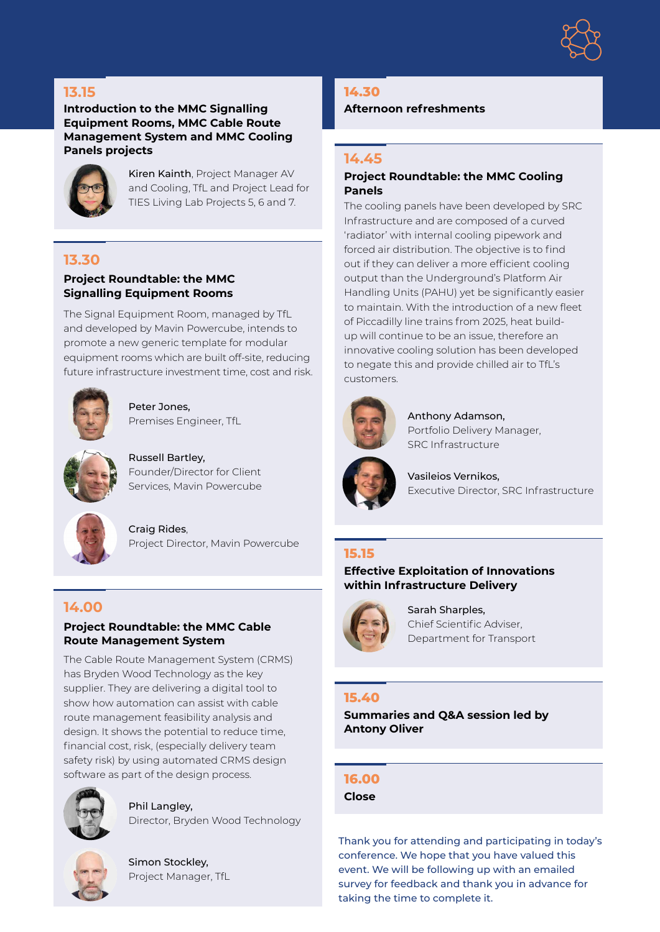

## **13.15**

#### **Introduction to the MMC Signalling Equipment Rooms, MMC Cable Route Management System and MMC Cooling Panels projects**



Kiren Kainth, Project Manager AV and Cooling, TfL and Project Lead for TIES Living Lab Projects 5, 6 and 7.

#### **13.30**

#### **Project Roundtable: the MMC Signalling Equipment Rooms**

The Signal Equipment Room, managed by TfL and developed by Mavin Powercube, intends to promote a new generic template for modular equipment rooms which are built off-site, reducing future infrastructure investment time, cost and risk.



Peter Jones, Premises Engineer, TfL



Russell Bartley, Founder/Director for Client Services, Mavin Powercube



Craig Rides, Project Director, Mavin Powercube

## **14.00**

#### **Project Roundtable: the MMC Cable Route Management System**

The Cable Route Management System (CRMS) has Bryden Wood Technology as the key supplier. They are delivering a digital tool to show how automation can assist with cable route management feasibility analysis and design. It shows the potential to reduce time, financial cost, risk, (especially delivery team safety risk) by using automated CRMS design software as part of the design process.



Phil Langley, Director, Bryden Wood Technology



Simon Stockley, Project Manager, TfL

#### **14.30**

**Afternoon refreshments**

#### **14.45**

#### **Project Roundtable: the MMC Cooling Panels**

The cooling panels have been developed by SRC Infrastructure and are composed of a curved 'radiator' with internal cooling pipework and forced air distribution. The objective is to find out if they can deliver a more efficient cooling output than the Underground's Platform Air Handling Units (PAHU) yet be significantly easier to maintain. With the introduction of a new fleet of Piccadilly line trains from 2025, heat buildup will continue to be an issue, therefore an innovative cooling solution has been developed to negate this and provide chilled air to TfL's customers.



Anthony Adamson, Portfolio Delivery Manager, SRC Infrastructure

Vasileios Vernikos, Executive Director, SRC Infrastructure

## **15.15**

#### **Effective Exploitation of Innovations within Infrastructure Delivery**



Sarah Sharples, Chief Scientific Adviser, Department for Transport

#### **15.40**

**Summaries and Q&A session led by Antony Oliver**

#### **16.00**

**Close**

Thank you for attending and participating in today's conference. We hope that you have valued this event. We will be following up with an emailed survey for feedback and thank you in advance for taking the time to complete it.